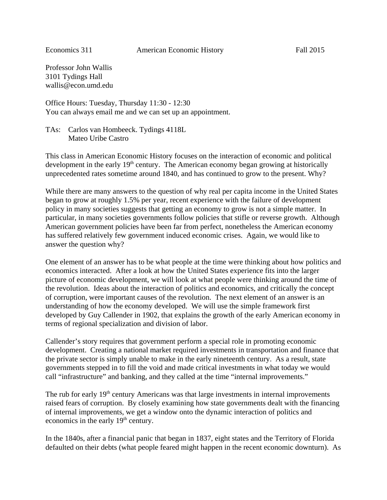Professor John Wallis 3101 Tydings Hall wallis@econ.umd.edu

Office Hours: Tuesday, Thursday 11:30 - 12:30 You can always email me and we can set up an appointment.

TAs: Carlos van Hombeeck. Tydings 4118L Mateo Uribe Castro

This class in American Economic History focuses on the interaction of economic and political development in the early  $19<sup>th</sup>$  century. The American economy began growing at historically unprecedented rates sometime around 1840, and has continued to grow to the present. Why?

While there are many answers to the question of why real per capita income in the United States began to grow at roughly 1.5% per year, recent experience with the failure of development policy in many societies suggests that getting an economy to grow is not a simple matter. In particular, in many societies governments follow policies that stifle or reverse growth. Although American government policies have been far from perfect, nonetheless the American economy has suffered relatively few government induced economic crises. Again, we would like to answer the question why?

One element of an answer has to be what people at the time were thinking about how politics and economics interacted. After a look at how the United States experience fits into the larger picture of economic development, we will look at what people were thinking around the time of the revolution. Ideas about the interaction of politics and economics, and critically the concept of corruption, were important causes of the revolution. The next element of an answer is an understanding of how the economy developed. We will use the simple framework first developed by Guy Callender in 1902, that explains the growth of the early American economy in terms of regional specialization and division of labor.

Callender's story requires that government perform a special role in promoting economic development. Creating a national market required investments in transportation and finance that the private sector is simply unable to make in the early nineteenth century. As a result, state governments stepped in to fill the void and made critical investments in what today we would call "infrastructure" and banking, and they called at the time "internal improvements."

The rub for early 19<sup>th</sup> century Americans was that large investments in internal improvements raised fears of corruption. By closely examining how state governments dealt with the financing of internal improvements, we get a window onto the dynamic interaction of politics and economics in the early 19<sup>th</sup> century.

In the 1840s, after a financial panic that began in 1837, eight states and the Territory of Florida defaulted on their debts (what people feared might happen in the recent economic downturn). As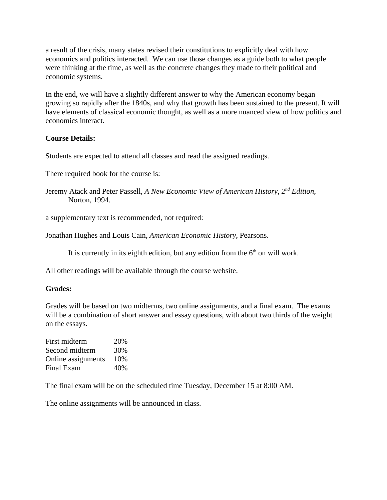a result of the crisis, many states revised their constitutions to explicitly deal with how economics and politics interacted. We can use those changes as a guide both to what people were thinking at the time, as well as the concrete changes they made to their political and economic systems.

In the end, we will have a slightly different answer to why the American economy began growing so rapidly after the 1840s, and why that growth has been sustained to the present. It will have elements of classical economic thought, as well as a more nuanced view of how politics and economics interact.

## **Course Details:**

Students are expected to attend all classes and read the assigned readings.

There required book for the course is:

Jeremy Atack and Peter Passell, *A New Economic View of American History*, *2nd Edition*, Norton, 1994.

a supplementary text is recommended, not required:

Jonathan Hughes and Louis Cain, *American Economic History*, Pearsons.

It is currently in its eighth edition, but any edition from the  $6<sup>th</sup>$  on will work.

All other readings will be available through the course website.

## **Grades:**

Grades will be based on two midterms, two online assignments, and a final exam. The exams will be a combination of short answer and essay questions, with about two thirds of the weight on the essays.

First midterm 20% Second midterm 30% Online assignments 10% Final Exam 40%

The final exam will be on the scheduled time Tuesday, December 15 at 8:00 AM.

The online assignments will be announced in class.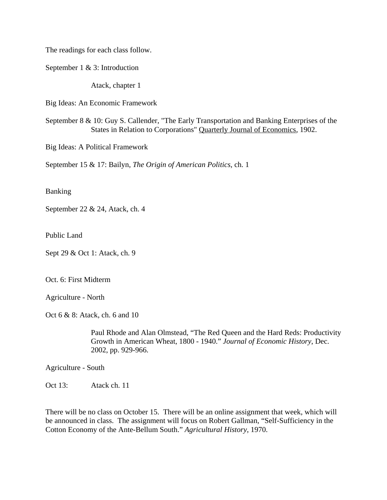The readings for each class follow.

September 1 & 3: Introduction

Atack, chapter 1

Big Ideas: An Economic Framework

September 8 & 10: Guy S. Callender, "The Early Transportation and Banking Enterprises of the States in Relation to Corporations" Quarterly Journal of Economics, 1902.

Big Ideas: A Political Framework

September 15 & 17: Bailyn, *The Origin of American Politics*, ch. 1

Banking

September 22 & 24, Atack, ch. 4

Public Land

Sept 29 & Oct 1: Atack, ch. 9

Oct. 6: First Midterm

Agriculture - North

Oct 6 & 8: Atack, ch. 6 and 10

Paul Rhode and Alan Olmstead, "The Red Queen and the Hard Reds: Productivity Growth in American Wheat, 1800 - 1940." *Journal of Economic History*, Dec. 2002, pp. 929-966.

Agriculture - South

Oct 13: Atack ch. 11

There will be no class on October 15. There will be an online assignment that week, which will be announced in class. The assignment will focus on Robert Gallman, "Self-Sufficiency in the Cotton Economy of the Ante-Bellum South." *Agricultural History*, 1970.